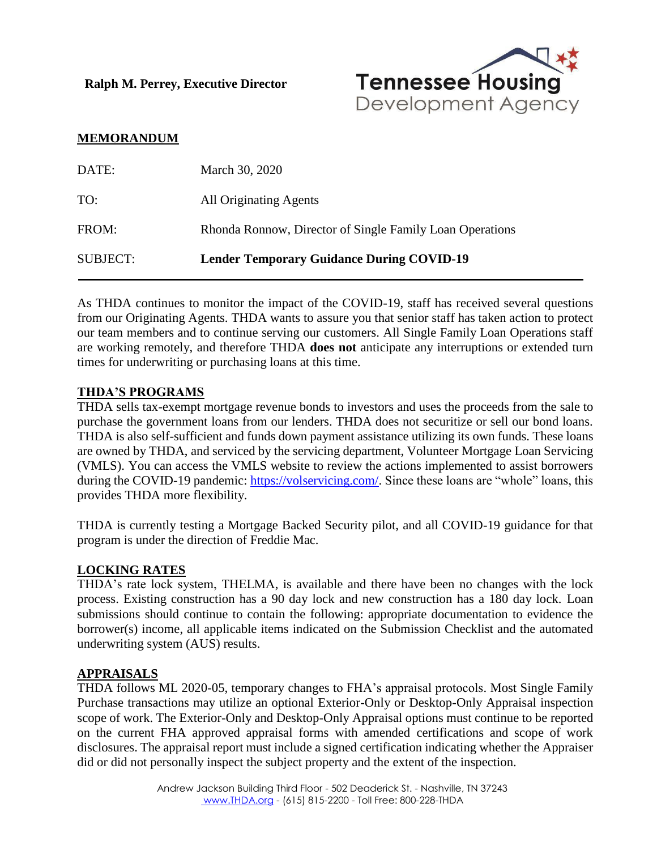**Ralph M. Perrey, Executive Director**



#### **MEMORANDUM**

| DATE:           | March 30, 2020                                           |
|-----------------|----------------------------------------------------------|
| TO:             | All Originating Agents                                   |
| FROM:           | Rhonda Ronnow, Director of Single Family Loan Operations |
| <b>SUBJECT:</b> | <b>Lender Temporary Guidance During COVID-19</b>         |

As THDA continues to monitor the impact of the COVID-19, staff has received several questions from our Originating Agents. THDA wants to assure you that senior staff has taken action to protect our team members and to continue serving our customers. All Single Family Loan Operations staff are working remotely, and therefore THDA **does not** anticipate any interruptions or extended turn times for underwriting or purchasing loans at this time.

#### **THDA'S PROGRAMS**

THDA sells tax-exempt mortgage revenue bonds to investors and uses the proceeds from the sale to purchase the government loans from our lenders. THDA does not securitize or sell our bond loans. THDA is also self-sufficient and funds down payment assistance utilizing its own funds. These loans are owned by THDA, and serviced by the servicing department, Volunteer Mortgage Loan Servicing (VMLS). You can access the VMLS website to review the actions implemented to assist borrowers during the COVID-19 pandemic: [https://volservicing.com/.](https://volservicing.com/) Since these loans are "whole" loans, this provides THDA more flexibility.

THDA is currently testing a Mortgage Backed Security pilot, and all COVID-19 guidance for that program is under the direction of Freddie Mac.

## **LOCKING RATES**

THDA's rate lock system, THELMA, is available and there have been no changes with the lock process. Existing construction has a 90 day lock and new construction has a 180 day lock. Loan submissions should continue to contain the following: appropriate documentation to evidence the borrower(s) income, all applicable items indicated on the Submission Checklist and the automated underwriting system (AUS) results.

#### **APPRAISALS**

THDA follows ML 2020-05, temporary changes to FHA's appraisal protocols. Most Single Family Purchase transactions may utilize an optional Exterior-Only or Desktop-Only Appraisal inspection scope of work. The Exterior-Only and Desktop-Only Appraisal options must continue to be reported on the current FHA approved appraisal forms with amended certifications and scope of work disclosures. The appraisal report must include a signed certification indicating whether the Appraiser did or did not personally inspect the subject property and the extent of the inspection.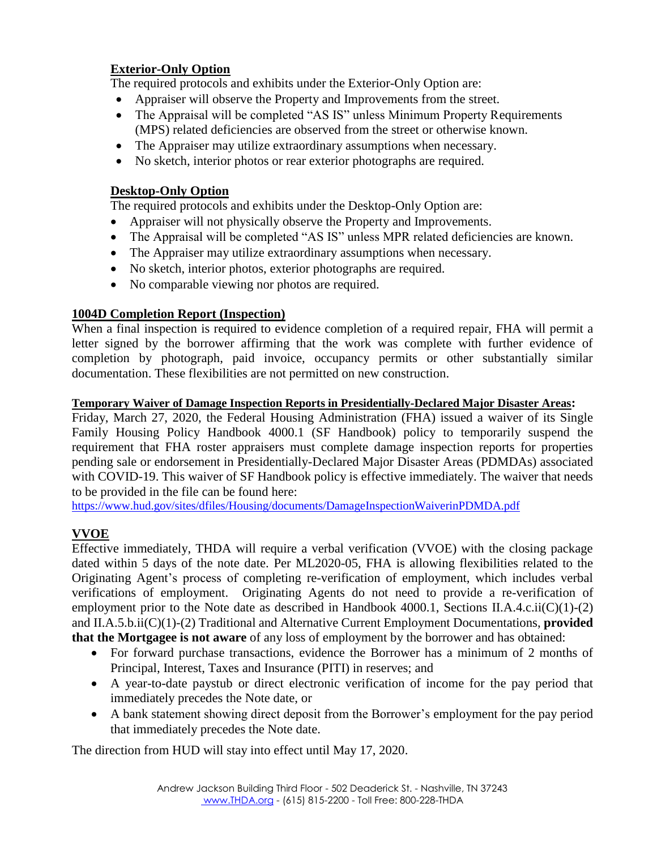# **Exterior-Only Option**

The required protocols and exhibits under the Exterior-Only Option are:

- Appraiser will observe the Property and Improvements from the street.
- The Appraisal will be completed "AS IS" unless Minimum Property Requirements (MPS) related deficiencies are observed from the street or otherwise known.
- The Appraiser may utilize extraordinary assumptions when necessary.
- No sketch, interior photos or rear exterior photographs are required.

# **Desktop-Only Option**

The required protocols and exhibits under the Desktop-Only Option are:

- Appraiser will not physically observe the Property and Improvements.
- The Appraisal will be completed "AS IS" unless MPR related deficiencies are known.
- The Appraiser may utilize extraordinary assumptions when necessary.
- No sketch, interior photos, exterior photographs are required.
- No comparable viewing nor photos are required.

# **1004D Completion Report (Inspection)**

When a final inspection is required to evidence completion of a required repair, FHA will permit a letter signed by the borrower affirming that the work was complete with further evidence of completion by photograph, paid invoice, occupancy permits or other substantially similar documentation. These flexibilities are not permitted on new construction.

## **Temporary Waiver of Damage Inspection Reports in Presidentially-Declared Major Disaster Areas:**

Friday, March 27, 2020, the Federal Housing Administration (FHA) issued a waiver of its Single Family Housing Policy Handbook 4000.1 (SF Handbook) policy to temporarily suspend the requirement that FHA roster appraisers must complete damage inspection reports for properties pending sale or endorsement in Presidentially-Declared Major Disaster Areas (PDMDAs) associated with COVID-19. This waiver of SF Handbook policy is effective immediately. The waiver that needs to be provided in the file can be found here:

<https://www.hud.gov/sites/dfiles/Housing/documents/DamageInspectionWaiverinPDMDA.pdf>

# **VVOE**

Effective immediately, THDA will require a verbal verification (VVOE) with the closing package dated within 5 days of the note date. Per ML2020-05, FHA is allowing flexibilities related to the Originating Agent's process of completing re-verification of employment, which includes verbal verifications of employment. Originating Agents do not need to provide a re-verification of employment prior to the Note date as described in Handbook 4000.1, Sections II.A.4.c.ii( $C(1)-(2)$ ) and II.A.5.b.ii(C)(1)-(2) Traditional and Alternative Current Employment Documentations, **provided that the Mortgagee is not aware** of any loss of employment by the borrower and has obtained:

- For forward purchase transactions, evidence the Borrower has a minimum of 2 months of Principal, Interest, Taxes and Insurance (PITI) in reserves; and
- A year-to-date paystub or direct electronic verification of income for the pay period that immediately precedes the Note date, or
- A bank statement showing direct deposit from the Borrower's employment for the pay period that immediately precedes the Note date.

The direction from HUD will stay into effect until May 17, 2020.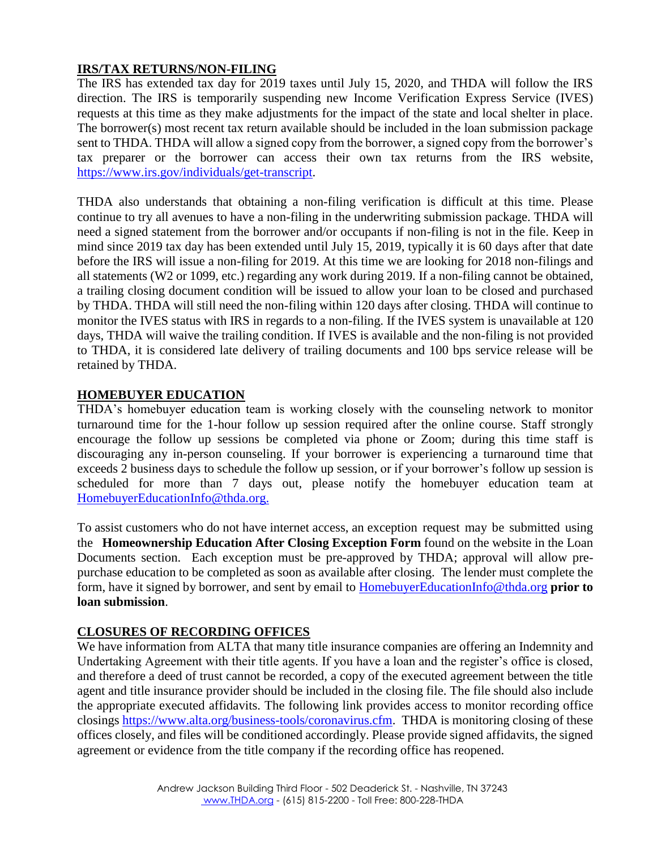## **IRS/TAX RETURNS/NON-FILING**

The IRS has extended tax day for 2019 taxes until July 15, 2020, and THDA will follow the IRS direction. The IRS is temporarily suspending new Income Verification Express Service (IVES) requests at this time as they make adjustments for the impact of the state and local shelter in place. The borrower(s) most recent tax return available should be included in the loan submission package sent to THDA. THDA will allow a signed copy from the borrower, a signed copy from the borrower's tax preparer or the borrower can access their own tax returns from the IRS website, [https://www.irs.gov/individuals/get-transcript.](https://www.irs.gov/individuals/get-transcript)

THDA also understands that obtaining a non-filing verification is difficult at this time. Please continue to try all avenues to have a non-filing in the underwriting submission package. THDA will need a signed statement from the borrower and/or occupants if non-filing is not in the file. Keep in mind since 2019 tax day has been extended until July 15, 2019, typically it is 60 days after that date before the IRS will issue a non-filing for 2019. At this time we are looking for 2018 non-filings and all statements (W2 or 1099, etc.) regarding any work during 2019. If a non-filing cannot be obtained, a trailing closing document condition will be issued to allow your loan to be closed and purchased by THDA. THDA will still need the non-filing within 120 days after closing. THDA will continue to monitor the IVES status with IRS in regards to a non-filing. If the IVES system is unavailable at 120 days, THDA will waive the trailing condition. If IVES is available and the non-filing is not provided to THDA, it is considered late delivery of trailing documents and 100 bps service release will be retained by THDA.

#### **HOMEBUYER EDUCATION**

THDA's homebuyer education team is working closely with the counseling network to monitor turnaround time for the 1-hour follow up session required after the online course. Staff strongly encourage the follow up sessions be completed via phone or Zoom; during this time staff is discouraging any in-person counseling. If your borrower is experiencing a turnaround time that exceeds 2 business days to schedule the follow up session, or if your borrower's follow up session is scheduled for more than 7 days out, please notify the homebuyer education team at [HomebuyerEducationInfo@thda.org.](mailto:HomebuyerEducationInfo@thda.org)

To assist customers who do not have internet access, an exception request may be submitted using the **Homeownership Education After Closing Exception Form** found on the website in the Loan Documents section. Each exception must be pre-approved by THDA; approval will allow prepurchase education to be completed as soon as available after closing. The lender must complete the form, have it signed by borrower, and sent by email to [HomebuyerEducationInfo@thda.org](mailto:HomebuyerEducationInfo@thda.org) **prior to loan submission**.

## **CLOSURES OF RECORDING OFFICES**

We have information from ALTA that many title insurance companies are offering an Indemnity and Undertaking Agreement with their title agents. If you have a loan and the register's office is closed, and therefore a deed of trust cannot be recorded, a copy of the executed agreement between the title agent and title insurance provider should be included in the closing file. The file should also include the appropriate executed affidavits. The following link provides access to monitor recording office closings [https://www.alta.org/business-tools/coronavirus.cfm.](https://www.alta.org/business-tools/coronavirus.cfm) THDA is monitoring closing of these offices closely, and files will be conditioned accordingly. Please provide signed affidavits, the signed agreement or evidence from the title company if the recording office has reopened.